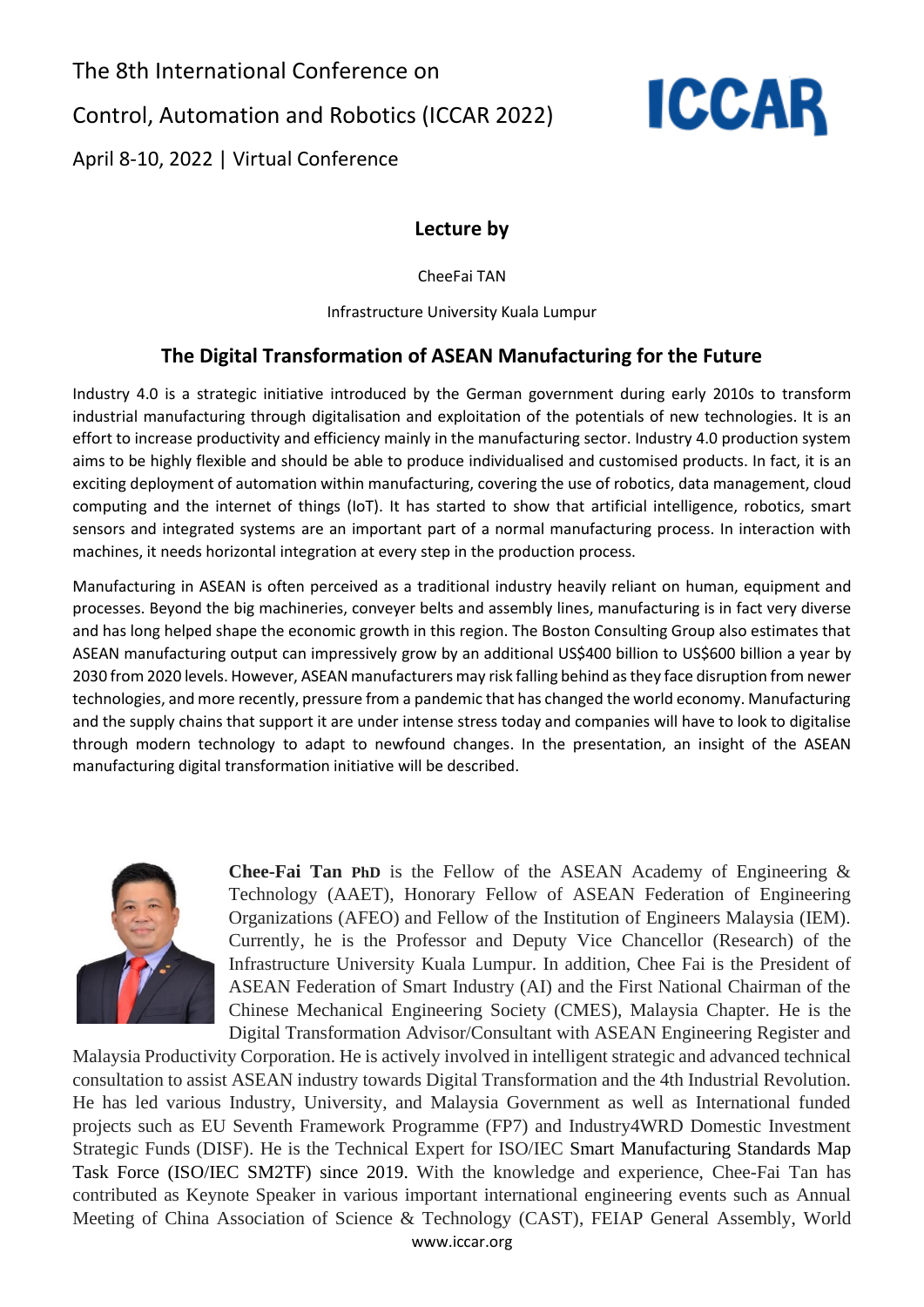The 8th International Conference on Control, Automation and Robotics (ICCAR 2022) April 8-10, 2022 | Virtual Conference



**Lecture by**

CheeFai TAN

Infrastructure University Kuala Lumpur

## **The Digital Transformation of ASEAN Manufacturing for the Future**

Industry 4.0 is a strategic initiative introduced by the German government during early 2010s to transform industrial manufacturing through digitalisation and exploitation of the potentials of new technologies. It is an effort to increase productivity and efficiency mainly in the manufacturing sector. Industry 4.0 production system aims to be highly flexible and should be able to produce individualised and customised products. In fact, it is an exciting deployment of automation within manufacturing, covering the use of robotics, data management, cloud computing and the internet of things (IoT). It has started to show that artificial intelligence, robotics, smart sensors and integrated systems are an important part of a normal manufacturing process. In interaction with machines, it needs horizontal integration at every step in the production process.

Manufacturing in ASEAN is often perceived as a traditional industry heavily reliant on human, equipment and processes. Beyond the big machineries, conveyer belts and assembly lines, manufacturing is in fact very diverse and has long helped shape the economic growth in this region. The Boston Consulting Group also estimates that ASEAN manufacturing output can impressively grow by an additional US\$400 billion to US\$600 billion a year by 2030 from 2020 levels. However, ASEAN manufacturers may risk falling behind as they face disruption from newer technologies, and more recently, pressure from a pandemic that has changed the world economy. Manufacturing and the supply chains that support it are under intense stress today and companies will have to look to digitalise through modern technology to adapt to newfound changes. In the presentation, an insight of the ASEAN manufacturing digital transformation initiative will be described.



**Chee-Fai Tan PhD** is the Fellow of the ASEAN Academy of Engineering & Technology (AAET), Honorary Fellow of ASEAN Federation of Engineering Organizations (AFEO) and Fellow of the Institution of Engineers Malaysia (IEM). Currently, he is the Professor and Deputy Vice Chancellor (Research) of the Infrastructure University Kuala Lumpur. In addition, Chee Fai is the President of ASEAN Federation of Smart Industry (AI) and the First National Chairman of the Chinese Mechanical Engineering Society (CMES), Malaysia Chapter. He is the Digital Transformation Advisor/Consultant with ASEAN Engineering Register and

Malaysia Productivity Corporation. He is actively involved in intelligent strategic and advanced technical consultation to assist ASEAN industry towards Digital Transformation and the 4th Industrial Revolution. He has led various Industry, University, and Malaysia Government as well as International funded projects such as EU Seventh Framework Programme (FP7) and Industry4WRD Domestic Investment Strategic Funds (DISF). He is the Technical Expert for ISO/IEC Smart Manufacturing Standards Map Task Force (ISO/IEC SM2TF) since 2019. With the knowledge and experience, Chee-Fai Tan has contributed as Keynote Speaker in various important international engineering events such as Annual Meeting of China Association of Science & Technology (CAST), FEIAP General Assembly, World